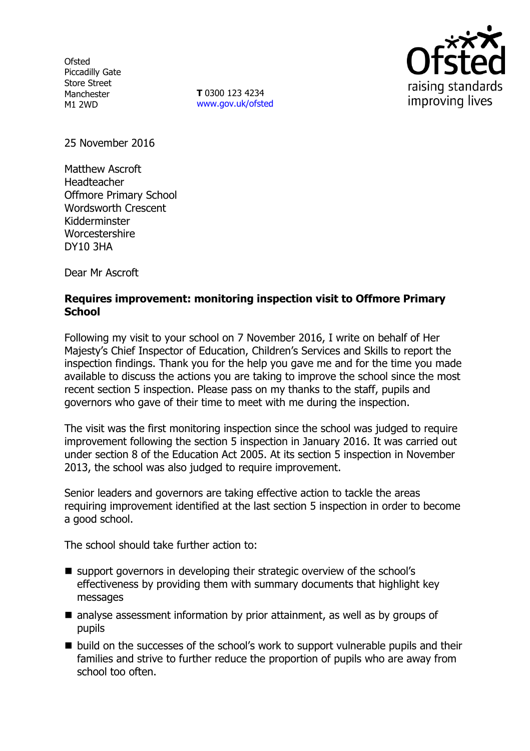**Ofsted** Piccadilly Gate Store Street Manchester M1 2WD

**T** 0300 123 4234 www.gov.uk/ofsted



25 November 2016

Matthew Ascroft Headteacher Offmore Primary School Wordsworth Crescent Kidderminster Worcestershire DY10 3HA

Dear Mr Ascroft

#### **Requires improvement: monitoring inspection visit to Offmore Primary School**

Following my visit to your school on 7 November 2016, I write on behalf of Her Majesty's Chief Inspector of Education, Children's Services and Skills to report the inspection findings. Thank you for the help you gave me and for the time you made available to discuss the actions you are taking to improve the school since the most recent section 5 inspection. Please pass on my thanks to the staff, pupils and governors who gave of their time to meet with me during the inspection.

The visit was the first monitoring inspection since the school was judged to require improvement following the section 5 inspection in January 2016. It was carried out under section 8 of the Education Act 2005. At its section 5 inspection in November 2013, the school was also judged to require improvement.

Senior leaders and governors are taking effective action to tackle the areas requiring improvement identified at the last section 5 inspection in order to become a good school.

The school should take further action to:

- support governors in developing their strategic overview of the school's effectiveness by providing them with summary documents that highlight key messages
- analyse assessment information by prior attainment, as well as by groups of pupils
- build on the successes of the school's work to support vulnerable pupils and their families and strive to further reduce the proportion of pupils who are away from school too often.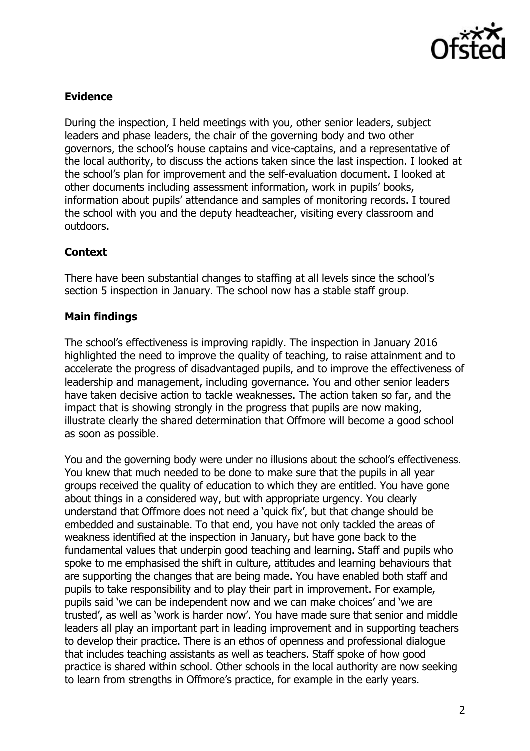

# **Evidence**

During the inspection, I held meetings with you, other senior leaders, subject leaders and phase leaders, the chair of the governing body and two other governors, the school's house captains and vice-captains, and a representative of the local authority, to discuss the actions taken since the last inspection. I looked at the school's plan for improvement and the self-evaluation document. I looked at other documents including assessment information, work in pupils' books, information about pupils' attendance and samples of monitoring records. I toured the school with you and the deputy headteacher, visiting every classroom and outdoors.

## **Context**

There have been substantial changes to staffing at all levels since the school's section 5 inspection in January. The school now has a stable staff group.

## **Main findings**

The school's effectiveness is improving rapidly. The inspection in January 2016 highlighted the need to improve the quality of teaching, to raise attainment and to accelerate the progress of disadvantaged pupils, and to improve the effectiveness of leadership and management, including governance. You and other senior leaders have taken decisive action to tackle weaknesses. The action taken so far, and the impact that is showing strongly in the progress that pupils are now making, illustrate clearly the shared determination that Offmore will become a good school as soon as possible.

You and the governing body were under no illusions about the school's effectiveness. You knew that much needed to be done to make sure that the pupils in all year groups received the quality of education to which they are entitled. You have gone about things in a considered way, but with appropriate urgency. You clearly understand that Offmore does not need a 'quick fix', but that change should be embedded and sustainable. To that end, you have not only tackled the areas of weakness identified at the inspection in January, but have gone back to the fundamental values that underpin good teaching and learning. Staff and pupils who spoke to me emphasised the shift in culture, attitudes and learning behaviours that are supporting the changes that are being made. You have enabled both staff and pupils to take responsibility and to play their part in improvement. For example, pupils said 'we can be independent now and we can make choices' and 'we are trusted', as well as 'work is harder now'. You have made sure that senior and middle leaders all play an important part in leading improvement and in supporting teachers to develop their practice. There is an ethos of openness and professional dialogue that includes teaching assistants as well as teachers. Staff spoke of how good practice is shared within school. Other schools in the local authority are now seeking to learn from strengths in Offmore's practice, for example in the early years.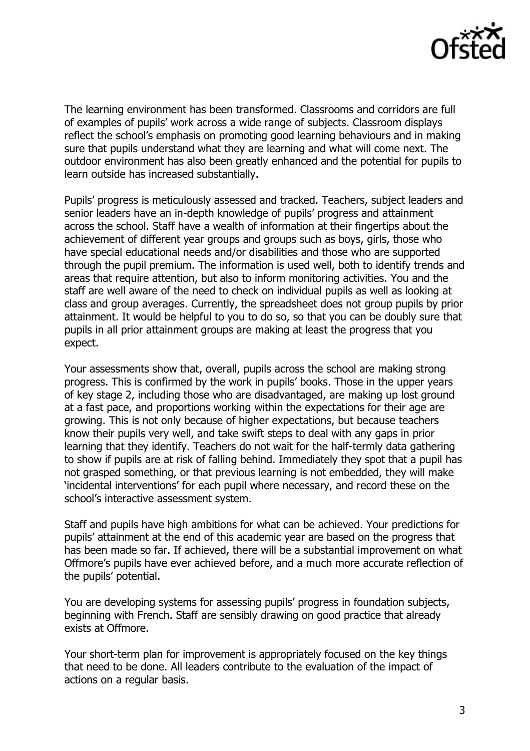

The learning environment has been transformed. Classrooms and corridors are full of examples of pupils' work across a wide range of subjects. Classroom displays reflect the school's emphasis on promoting good learning behaviours and in making sure that pupils understand what they are learning and what will come next. The outdoor environment has also been greatly enhanced and the potential for pupils to learn outside has increased substantially.

Pupils' progress is meticulously assessed and tracked. Teachers, subject leaders and senior leaders have an in-depth knowledge of pupils' progress and attainment across the school. Staff have a wealth of information at their fingertips about the achievement of different year groups and groups such as boys, girls, those who have special educational needs and/or disabilities and those who are supported through the pupil premium. The information is used well, both to identify trends and areas that require attention, but also to inform monitoring activities. You and the staff are well aware of the need to check on individual pupils as well as looking at class and group averages. Currently, the spreadsheet does not group pupils by prior attainment. It would be helpful to you to do so, so that you can be doubly sure that pupils in all prior attainment groups are making at least the progress that you expect.

Your assessments show that, overall, pupils across the school are making strong progress. This is confirmed by the work in pupils' books. Those in the upper years of key stage 2, including those who are disadvantaged, are making up lost ground at a fast pace, and proportions working within the expectations for their age are growing. This is not only because of higher expectations, but because teachers know their pupils very well, and take swift steps to deal with any gaps in prior learning that they identify. Teachers do not wait for the half-termly data gathering to show if pupils are at risk of falling behind. Immediately they spot that a pupil has not grasped something, or that previous learning is not embedded, they will make 'incidental interventions' for each pupil where necessary, and record these on the school's interactive assessment system.

Staff and pupils have high ambitions for what can be achieved. Your predictions for pupils' attainment at the end of this academic year are based on the progress that has been made so far. If achieved, there will be a substantial improvement on what Offmore's pupils have ever achieved before, and a much more accurate reflection of the pupils' potential.

You are developing systems for assessing pupils' progress in foundation subjects, beginning with French. Staff are sensibly drawing on good practice that already exists at Offmore.

Your short-term plan for improvement is appropriately focused on the key things that need to be done. All leaders contribute to the evaluation of the impact of actions on a regular basis.